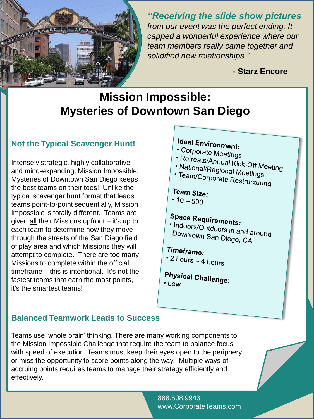

*"Receiving the slide show pictures from our event was the perfect ending. It capped a wonderful experience where our team members really came together and solidified new relationships."*

**- Starz Encore**

## **Mission Impossible: Mysteries of Downtown San Diego**

### **Not the Typical Scavenger Hunt!**

Intensely strategic, highly collaborative and mind-expanding, Mission Impossible: Mysteries of Downtown San Diego keeps the best teams on their toes! Unlike the typical scavenger hunt format that leads teams point-to-point sequentially, Mission Impossible is totally different. Teams are given all their Missions upfront – it's up to each team to determine how they move through the streets of the San Diego field of play area and which Missions they will attempt to complete. There are too many Missions to complete within the official timeframe – this is intentional. It's not the fastest teams that earn the most points, it's the smartest teams!

# Ideal Environment:

- Corporate Meetings
- 
- Priporate Meetings<br>• Retreats/Annual Kick-Off Meeting<br>• National/Regional Meeti • National/Regional Meetings<br>• National/Regional Meetings<br>• Team/Corporate D
- · Team/Corporate Restructuring

### Team Size:

•  $10 - 500$ 

# **Space Requirements:**

• Indoors/Outdoors in and around<br>• Indoors/Outdoors in and around<br>Downtown San Dioss Downtown San Diego, CA

## Timeframe:

- 2 hours  $-$  4 hours
- **Physical Challenge:**  $\cdot$  Low

### **Balanced Teamwork Leads to Success**

Teams use 'whole brain' thinking. There are many working components to the Mission Impossible Challenge that require the team to balance focus with speed of execution. Teams must keep their eyes open to the periphery or miss the opportunity to score points along the way. Multiple ways of accruing points requires teams to manage their strategy efficiently and effectively.

> 888.508.9943 www.CorporateTeams.com